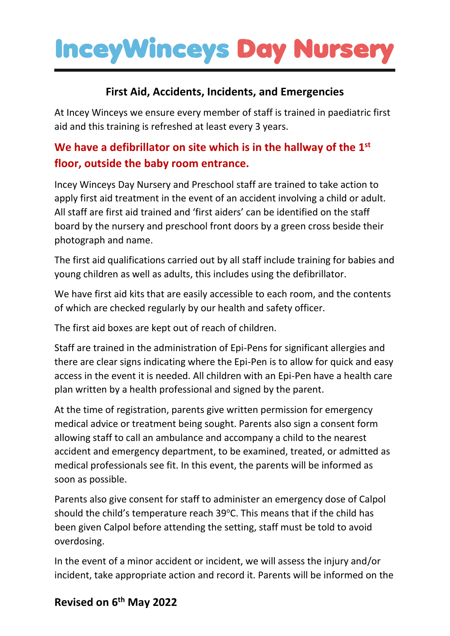# **InceyWinceys Day Nurse**

#### **First Aid, Accidents, Incidents, and Emergencies**

At Incey Winceys we ensure every member of staff is trained in paediatric first aid and this training is refreshed at least every 3 years.

## **We have a defibrillator on site which is in the hallway of the 1st floor, outside the baby room entrance.**

Incey Winceys Day Nursery and Preschool staff are trained to take action to apply first aid treatment in the event of an accident involving a child or adult. All staff are first aid trained and 'first aiders' can be identified on the staff board by the nursery and preschool front doors by a green cross beside their photograph and name.

The first aid qualifications carried out by all staff include training for babies and young children as well as adults, this includes using the defibrillator.

We have first aid kits that are easily accessible to each room, and the contents of which are checked regularly by our health and safety officer.

The first aid boxes are kept out of reach of children.

Staff are trained in the administration of Epi-Pens for significant allergies and there are clear signs indicating where the Epi-Pen is to allow for quick and easy access in the event it is needed. All children with an Epi-Pen have a health care plan written by a health professional and signed by the parent.

At the time of registration, parents give written permission for emergency medical advice or treatment being sought. Parents also sign a consent form allowing staff to call an ambulance and accompany a child to the nearest accident and emergency department, to be examined, treated, or admitted as medical professionals see fit. In this event, the parents will be informed as soon as possible.

Parents also give consent for staff to administer an emergency dose of Calpol should the child's temperature reach 39°C. This means that if the child has been given Calpol before attending the setting, staff must be told to avoid overdosing.

In the event of a minor accident or incident, we will assess the injury and/or incident, take appropriate action and record it. Parents will be informed on the

### **Revised on 6 th May 2022**